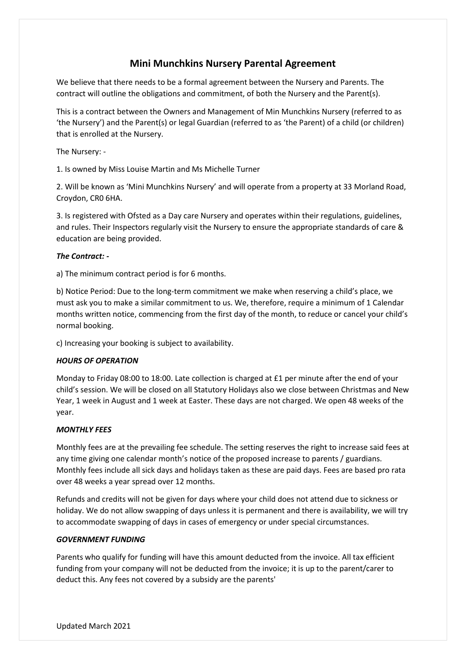# **Mini Munchkins Nursery Parental Agreement**

We believe that there needs to be a formal agreement between the Nursery and Parents. The contract will outline the obligations and commitment, of both the Nursery and the Parent(s).

This is a contract between the Owners and Management of Min Munchkins Nursery (referred to as 'the Nursery') and the Parent(s) or legal Guardian (referred to as 'the Parent) of a child (or children) that is enrolled at the Nursery.

The Nursery: -

1. Is owned by Miss Louise Martin and Ms Michelle Turner

2. Will be known as 'Mini Munchkins Nursery' and will operate from a property at 33 Morland Road, Croydon, CR0 6HA.

3. Is registered with Ofsted as a Day care Nursery and operates within their regulations, guidelines, and rules. Their Inspectors regularly visit the Nursery to ensure the appropriate standards of care & education are being provided.

# *The Contract: -*

a) The minimum contract period is for 6 months.

b) Notice Period: Due to the long-term commitment we make when reserving a child's place, we must ask you to make a similar commitment to us. We, therefore, require a minimum of 1 Calendar months written notice, commencing from the first day of the month, to reduce or cancel your child's normal booking.

c) Increasing your booking is subject to availability.

## *HOURS OF OPERATION*

Monday to Friday 08:00 to 18:00. Late collection is charged at £1 per minute after the end of your child's session. We will be closed on all Statutory Holidays also we close between Christmas and New Year, 1 week in August and 1 week at Easter. These days are not charged. We open 48 weeks of the year.

## *MONTHLY FEES*

Monthly fees are at the prevailing fee schedule. The setting reserves the right to increase said fees at any time giving one calendar month's notice of the proposed increase to parents / guardians. Monthly fees include all sick days and holidays taken as these are paid days. Fees are based pro rata over 48 weeks a year spread over 12 months.

Refunds and credits will not be given for days where your child does not attend due to sickness or holiday. We do not allow swapping of days unless it is permanent and there is availability, we will try to accommodate swapping of days in cases of emergency or under special circumstances.

## *GOVERNMENT FUNDING*

Parents who qualify for funding will have this amount deducted from the invoice. All tax efficient funding from your company will not be deducted from the invoice; it is up to the parent/carer to deduct this. Any fees not covered by a subsidy are the parents'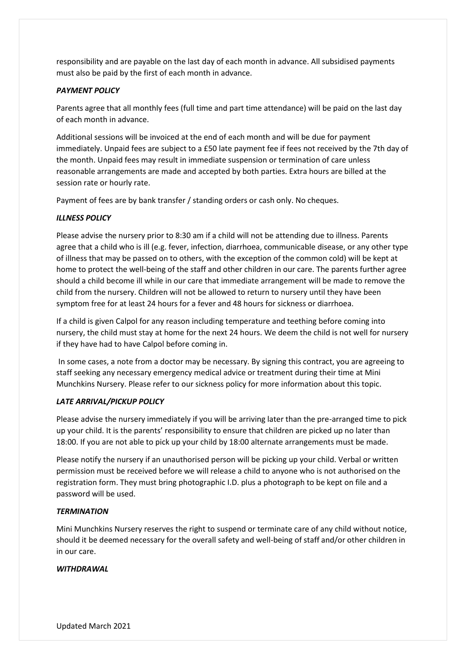responsibility and are payable on the last day of each month in advance. All subsidised payments must also be paid by the first of each month in advance.

# *PAYMENT POLICY*

Parents agree that all monthly fees (full time and part time attendance) will be paid on the last day of each month in advance.

Additional sessions will be invoiced at the end of each month and will be due for payment immediately. Unpaid fees are subject to a £50 late payment fee if fees not received by the 7th day of the month. Unpaid fees may result in immediate suspension or termination of care unless reasonable arrangements are made and accepted by both parties. Extra hours are billed at the session rate or hourly rate.

Payment of fees are by bank transfer / standing orders or cash only. No cheques.

# *ILLNESS POLICY*

Please advise the nursery prior to 8:30 am if a child will not be attending due to illness. Parents agree that a child who is ill (e.g. fever, infection, diarrhoea, communicable disease, or any other type of illness that may be passed on to others, with the exception of the common cold) will be kept at home to protect the well-being of the staff and other children in our care. The parents further agree should a child become ill while in our care that immediate arrangement will be made to remove the child from the nursery. Children will not be allowed to return to nursery until they have been symptom free for at least 24 hours for a fever and 48 hours for sickness or diarrhoea.

If a child is given Calpol for any reason including temperature and teething before coming into nursery, the child must stay at home for the next 24 hours. We deem the child is not well for nursery if they have had to have Calpol before coming in.

In some cases, a note from a doctor may be necessary. By signing this contract, you are agreeing to staff seeking any necessary emergency medical advice or treatment during their time at Mini Munchkins Nursery. Please refer to our sickness policy for more information about this topic.

## *LATE ARRIVAL/PICKUP POLICY*

Please advise the nursery immediately if you will be arriving later than the pre-arranged time to pick up your child. It is the parents' responsibility to ensure that children are picked up no later than 18:00. If you are not able to pick up your child by 18:00 alternate arrangements must be made.

Please notify the nursery if an unauthorised person will be picking up your child. Verbal or written permission must be received before we will release a child to anyone who is not authorised on the registration form. They must bring photographic I.D. plus a photograph to be kept on file and a password will be used.

## *TERMINATION*

Mini Munchkins Nursery reserves the right to suspend or terminate care of any child without notice, should it be deemed necessary for the overall safety and well-being of staff and/or other children in in our care.

## *WITHDRAWAL*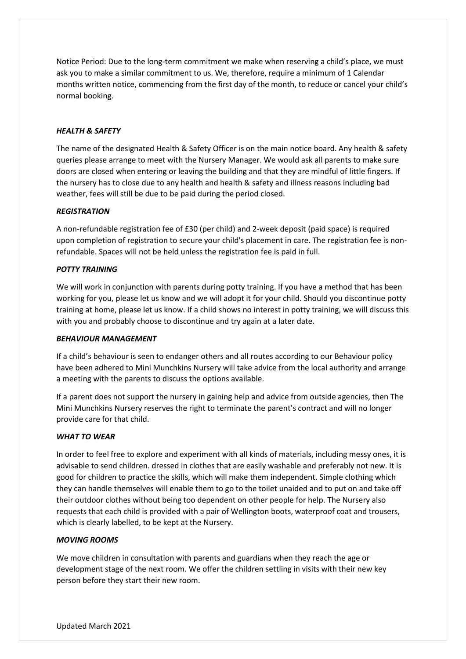Notice Period: Due to the long-term commitment we make when reserving a child's place, we must ask you to make a similar commitment to us. We, therefore, require a minimum of 1 Calendar months written notice, commencing from the first day of the month, to reduce or cancel your child's normal booking.

# *HEALTH & SAFETY*

The name of the designated Health & Safety Officer is on the main notice board. Any health & safety queries please arrange to meet with the Nursery Manager. We would ask all parents to make sure doors are closed when entering or leaving the building and that they are mindful of little fingers. If the nursery has to close due to any health and health & safety and illness reasons including bad weather, fees will still be due to be paid during the period closed.

## *REGISTRATION*

A non-refundable registration fee of £30 (per child) and 2-week deposit (paid space) is required upon completion of registration to secure your child's placement in care. The registration fee is nonrefundable. Spaces will not be held unless the registration fee is paid in full.

#### *POTTY TRAINING*

We will work in conjunction with parents during potty training. If you have a method that has been working for you, please let us know and we will adopt it for your child. Should you discontinue potty training at home, please let us know. If a child shows no interest in potty training, we will discuss this with you and probably choose to discontinue and try again at a later date.

#### *BEHAVIOUR MANAGEMENT*

If a child's behaviour is seen to endanger others and all routes according to our Behaviour policy have been adhered to Mini Munchkins Nursery will take advice from the local authority and arrange a meeting with the parents to discuss the options available.

If a parent does not support the nursery in gaining help and advice from outside agencies, then The Mini Munchkins Nursery reserves the right to terminate the parent's contract and will no longer provide care for that child.

#### *WHAT TO WEAR*

In order to feel free to explore and experiment with all kinds of materials, including messy ones, it is advisable to send children. dressed in clothes that are easily washable and preferably not new. It is good for children to practice the skills, which will make them independent. Simple clothing which they can handle themselves will enable them to go to the toilet unaided and to put on and take off their outdoor clothes without being too dependent on other people for help. The Nursery also requests that each child is provided with a pair of Wellington boots, waterproof coat and trousers, which is clearly labelled, to be kept at the Nursery.

#### *MOVING ROOMS*

We move children in consultation with parents and guardians when they reach the age or development stage of the next room. We offer the children settling in visits with their new key person before they start their new room.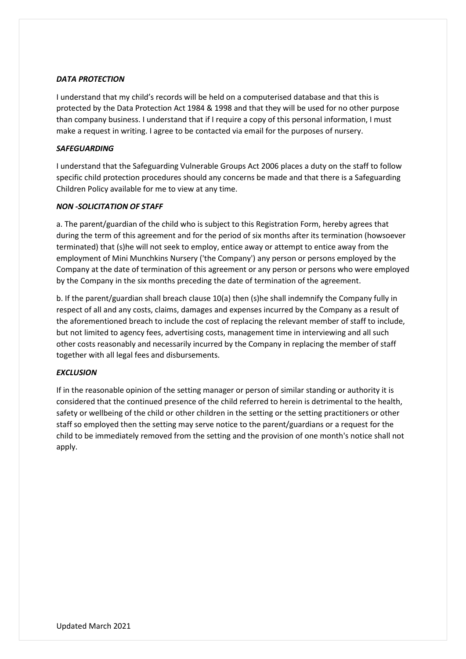# *DATA PROTECTION*

I understand that my child's records will be held on a computerised database and that this is protected by the Data Protection Act 1984 & 1998 and that they will be used for no other purpose than company business. I understand that if I require a copy of this personal information, I must make a request in writing. I agree to be contacted via email for the purposes of nursery.

## *SAFEGUARDING*

I understand that the Safeguarding Vulnerable Groups Act 2006 places a duty on the staff to follow specific child protection procedures should any concerns be made and that there is a Safeguarding Children Policy available for me to view at any time.

#### *NON -SOLICITATION OF STAFF*

a. The parent/guardian of the child who is subject to this Registration Form, hereby agrees that during the term of this agreement and for the period of six months after its termination (howsoever terminated) that (s)he will not seek to employ, entice away or attempt to entice away from the employment of Mini Munchkins Nursery ('the Company') any person or persons employed by the Company at the date of termination of this agreement or any person or persons who were employed by the Company in the six months preceding the date of termination of the agreement.

b. If the parent/guardian shall breach clause 10(a) then (s)he shall indemnify the Company fully in respect of all and any costs, claims, damages and expenses incurred by the Company as a result of the aforementioned breach to include the cost of replacing the relevant member of staff to include, but not limited to agency fees, advertising costs, management time in interviewing and all such other costs reasonably and necessarily incurred by the Company in replacing the member of staff together with all legal fees and disbursements.

## *EXCLUSION*

If in the reasonable opinion of the setting manager or person of similar standing or authority it is considered that the continued presence of the child referred to herein is detrimental to the health, safety or wellbeing of the child or other children in the setting or the setting practitioners or other staff so employed then the setting may serve notice to the parent/guardians or a request for the child to be immediately removed from the setting and the provision of one month's notice shall not apply.